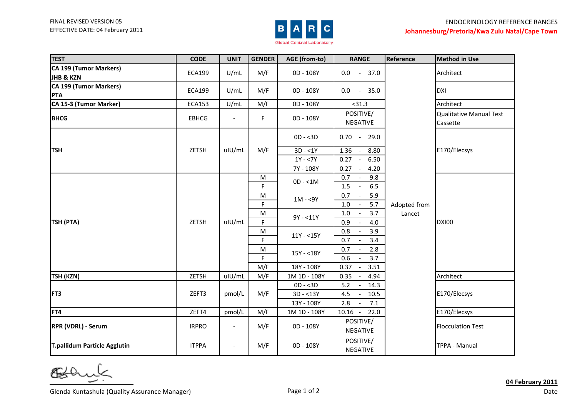

| <b>TEST</b>                  | <b>CODE</b>   | <b>UNIT</b>              | <b>GENDER</b> | AGE (from-to) | <b>RANGE</b>                               | Reference              | <b>Method in Use</b>           |
|------------------------------|---------------|--------------------------|---------------|---------------|--------------------------------------------|------------------------|--------------------------------|
| CA 199 (Tumor Markers)       | <b>ECA199</b> | U/mL                     | M/F           | 0D - 108Y     | 0.0<br>37.0<br>$\sim$ $-$                  |                        | Architect                      |
| JHB & KZN                    |               |                          |               |               |                                            |                        |                                |
| CA 199 (Tumor Markers)       | ECA199        | U/mL                     | M/F           | 0D - 108Y     | $0.0 - 35.0$                               |                        | <b>DXI</b>                     |
| <b>PTA</b>                   |               |                          |               |               |                                            |                        |                                |
| CA 15-3 (Tumor Marker)       | <b>ECA153</b> | U/mL                     | M/F           | 0D - 108Y     | < 31.3                                     |                        | Architect                      |
| <b>BHCG</b>                  | <b>EBHCG</b>  | $\blacksquare$           | F             | 0D - 108Y     | POSITIVE/                                  | Adopted from<br>Lancet | <b>Qualitative Manual Test</b> |
|                              |               |                          |               |               | NEGATIVE                                   |                        | Cassette                       |
| <b>TSH</b>                   | ZETSH         | uIU/mL                   | M/F           | $OD - 3D$     | $0.70 -$<br>29.0                           |                        | E170/Elecsys                   |
|                              |               |                          |               | $3D - 1Y$     | 1.36<br>8.80                               |                        |                                |
|                              |               |                          |               | $1Y - 7Y$     | 0.27<br>6.50                               |                        |                                |
|                              |               |                          |               | 7Y - 108Y     | 0.27<br>4.20<br>$\overline{\phantom{a}}$   |                        |                                |
| TSH (PTA)                    | ZETSH         | uIU/mL                   | M             | $OD - < 1M$   | 0.7<br>9.8                                 |                        | <b>DXI00</b>                   |
|                              |               |                          | F             |               | 1.5<br>6.5                                 |                        |                                |
|                              |               |                          | M             | $1M - 59Y$    | 0.7<br>5.9<br>$\blacksquare$               |                        |                                |
|                              |               |                          | F             |               | $1.0\,$<br>5.7<br>$\overline{\phantom{a}}$ |                        |                                |
|                              |               |                          | M             | $9Y - 11Y$    | 3.7<br>1.0<br>$\sim$                       |                        |                                |
|                              |               |                          | F             |               | 0.9<br>4.0                                 |                        |                                |
|                              |               |                          | M             | $11Y - 15Y$   | 0.8<br>3.9                                 |                        |                                |
|                              |               |                          | F             |               | 0.7<br>3.4                                 |                        |                                |
|                              |               |                          | M             | $15Y - 18Y$   | 0.7<br>2.8                                 |                        |                                |
|                              |               |                          | F.            |               | 0.6<br>3.7                                 |                        |                                |
|                              |               |                          | M/F           | 18Y - 108Y    | 0.37<br>3.51                               |                        |                                |
| <b>TSH (KZN)</b>             | ZETSH         | uIU/mL                   | M/F           | 1M 1D - 108Y  | 0.35<br>4.94                               |                        | Architect                      |
| FT3                          | ZEFT3         | pmol/L                   | M/F           | $OD - < 3D$   | 5.2<br>14.3<br>$\overline{\phantom{a}}$    |                        | E170/Elecsys                   |
|                              |               |                          |               | $3D - 13Y$    | 4.5<br>10.5<br>$\sim$                      |                        |                                |
|                              |               |                          |               | 13Y - 108Y    | 2.8<br>7.1<br>$\mathbb{L}$                 |                        |                                |
| FT4                          | ZEFT4         | pmol/L                   | M/F           | 1M 1D - 108Y  | $10.16 -$<br>22.0                          |                        | E170/Elecsys                   |
| <b>RPR (VDRL) - Serum</b>    | <b>IRPRO</b>  | $\overline{\phantom{a}}$ | M/F           | 0D - 108Y     | POSITIVE/                                  |                        | <b>Flocculation Test</b>       |
|                              |               |                          |               |               | NEGATIVE                                   |                        |                                |
| T.pallidum Particle Agglutin | <b>ITPPA</b>  | $-$                      | M/F           | 0D - 108Y     | POSITIVE/                                  |                        | <b>TPPA - Manual</b>           |
|                              |               |                          |               |               | NEGATIVE                                   |                        |                                |

Bol  $\overline{\phantom{0}}$ 

Glenda Kuntashula (Quality Assurance Manager) Show The Control of 2